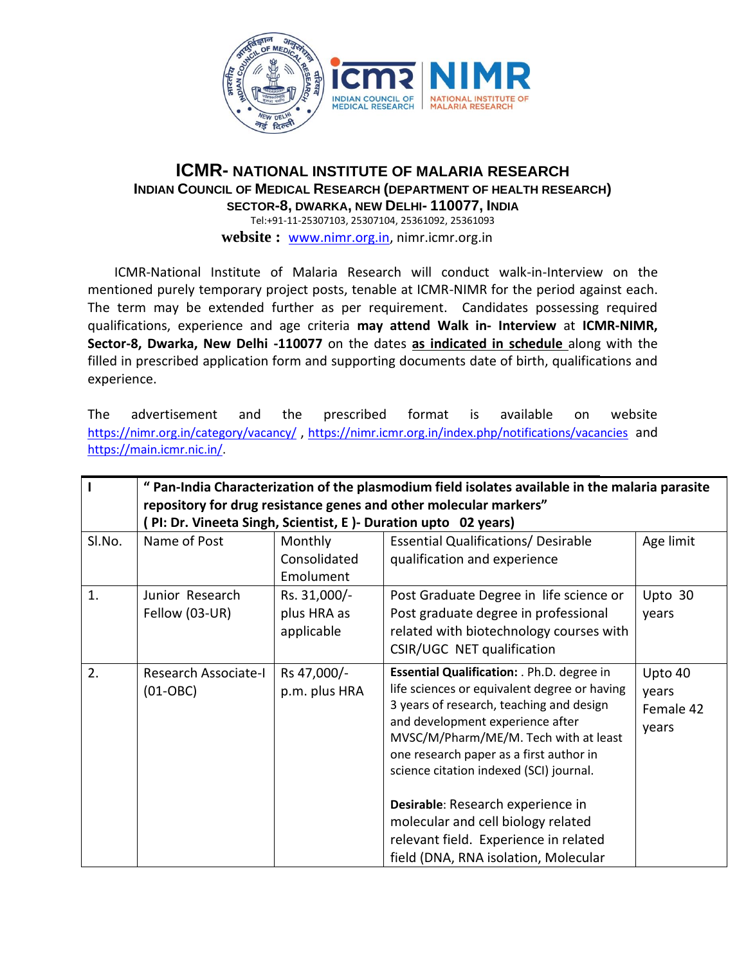

### **ICMR- NATIONAL INSTITUTE OF MALARIA RESEARCH INDIAN COUNCIL OF MEDICAL RESEARCH (DEPARTMENT OF HEALTH RESEARCH) SECTOR-8, DWARKA, NEW DELHI- 110077, INDIA** Tel:+91-11-25307103, 25307104, 25361092, 25361093

**website :** [www.nimr.org.in,](http://www.nimr.org.in/) nimr.icmr.org.in

 ICMR-National Institute of Malaria Research will conduct walk-in-Interview on the mentioned purely temporary project posts, tenable at ICMR-NIMR for the period against each. The term may be extended further as per requirement. Candidates possessing required qualifications, experience and age criteria **may attend Walk in- Interview** at **ICMR-NIMR, Sector-8, Dwarka, New Delhi -110077** on the dates **as indicated in schedule** along with the filled in prescribed application form and supporting documents date of birth, qualifications and experience.

The advertisement and the prescribed format is available on website <https://nimr.org.in/category/vacancy/> , <https://nimr.icmr.org.in/index.php/notifications/vacancies> and [https://main.icmr.nic.in/.](https://main.icmr.nic.in/)

|        | " Pan-India Characterization of the plasmodium field isolates available in the malaria parasite<br>repository for drug resistance genes and other molecular markers"<br>PI: Dr. Vineeta Singh, Scientist, E )- Duration upto 02 years) |                                           |                                                                                                                                                                                                                                                                                                                                                                                                                                                                       |                                        |
|--------|----------------------------------------------------------------------------------------------------------------------------------------------------------------------------------------------------------------------------------------|-------------------------------------------|-----------------------------------------------------------------------------------------------------------------------------------------------------------------------------------------------------------------------------------------------------------------------------------------------------------------------------------------------------------------------------------------------------------------------------------------------------------------------|----------------------------------------|
| SI.No. | Name of Post                                                                                                                                                                                                                           | Monthly<br>Consolidated<br>Emolument      | <b>Essential Qualifications/ Desirable</b><br>qualification and experience                                                                                                                                                                                                                                                                                                                                                                                            | Age limit                              |
| 1.     | Junior Research<br>Fellow (03-UR)                                                                                                                                                                                                      | Rs. 31,000/-<br>plus HRA as<br>applicable | Post Graduate Degree in life science or<br>Post graduate degree in professional<br>related with biotechnology courses with<br>CSIR/UGC NET qualification                                                                                                                                                                                                                                                                                                              | Upto 30<br>years                       |
| 2.     | Research Associate-I<br>$(01-OBC)$                                                                                                                                                                                                     | Rs 47,000/-<br>p.m. plus HRA              | Essential Qualification: . Ph.D. degree in<br>life sciences or equivalent degree or having<br>3 years of research, teaching and design<br>and development experience after<br>MVSC/M/Pharm/ME/M. Tech with at least<br>one research paper as a first author in<br>science citation indexed (SCI) journal.<br>Desirable: Research experience in<br>molecular and cell biology related<br>relevant field. Experience in related<br>field (DNA, RNA isolation, Molecular | Upto 40<br>years<br>Female 42<br>years |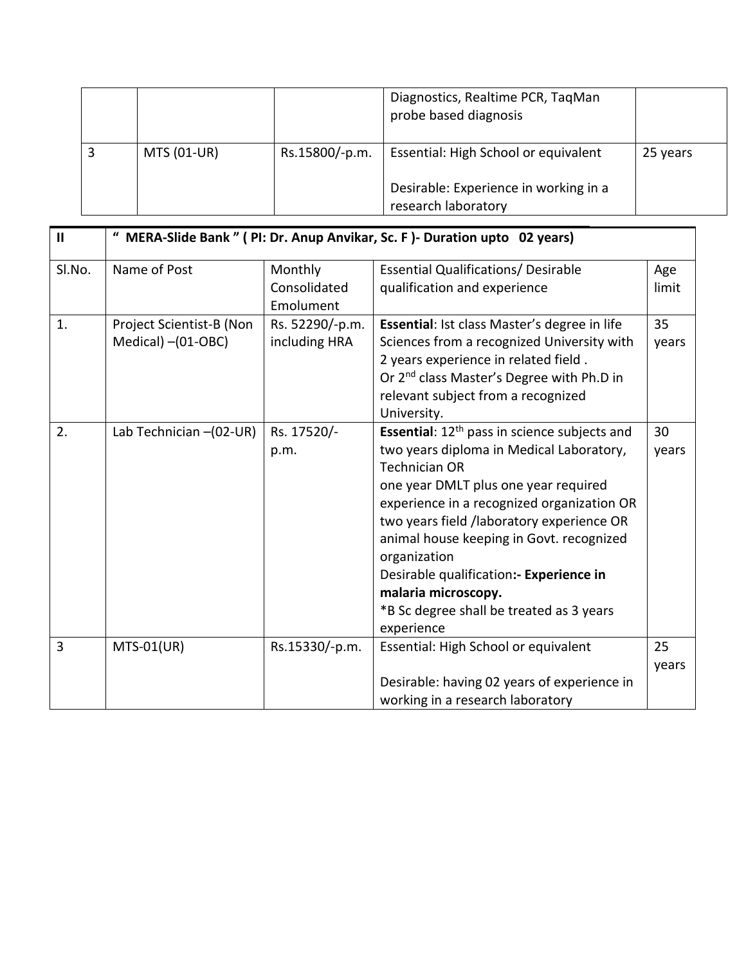|             |                | Diagnostics, Realtime PCR, TaqMan<br>probe based diagnosis   |          |
|-------------|----------------|--------------------------------------------------------------|----------|
| MTS (01-UR) | Rs.15800/-p.m. | Essential: High School or equivalent                         | 25 years |
|             |                | Desirable: Experience in working in a<br>research laboratory |          |

| $\mathbf{II}$ | " MERA-Slide Bank " ( PI: Dr. Anup Anvikar, Sc. F )- Duration upto 02 years) |                                      |                                                                                                                                                                                                                                                                                                                                                                                                                                                        |              |
|---------------|------------------------------------------------------------------------------|--------------------------------------|--------------------------------------------------------------------------------------------------------------------------------------------------------------------------------------------------------------------------------------------------------------------------------------------------------------------------------------------------------------------------------------------------------------------------------------------------------|--------------|
| Sl.No.        | Name of Post                                                                 | Monthly<br>Consolidated<br>Emolument | <b>Essential Qualifications/ Desirable</b><br>qualification and experience                                                                                                                                                                                                                                                                                                                                                                             | Age<br>limit |
| 1.            | Project Scientist-B (Non<br>Medical) - (01-OBC)                              | Rs. 52290/-p.m.<br>including HRA     | Essential: Ist class Master's degree in life<br>Sciences from a recognized University with<br>2 years experience in related field.<br>Or 2 <sup>nd</sup> class Master's Degree with Ph.D in<br>relevant subject from a recognized<br>University.                                                                                                                                                                                                       | 35<br>years  |
| 2.            | Lab Technician -(02-UR)                                                      | Rs. 17520/-<br>p.m.                  | Essential: 12 <sup>th</sup> pass in science subjects and<br>two years diploma in Medical Laboratory,<br><b>Technician OR</b><br>one year DMLT plus one year required<br>experience in a recognized organization OR<br>two years field /laboratory experience OR<br>animal house keeping in Govt. recognized<br>organization<br>Desirable qualification: Experience in<br>malaria microscopy.<br>*B Sc degree shall be treated as 3 years<br>experience | 30<br>years  |
| 3             | $MTS-01(UR)$                                                                 | Rs.15330/-p.m.                       | Essential: High School or equivalent<br>Desirable: having 02 years of experience in<br>working in a research laboratory                                                                                                                                                                                                                                                                                                                                | 25<br>years  |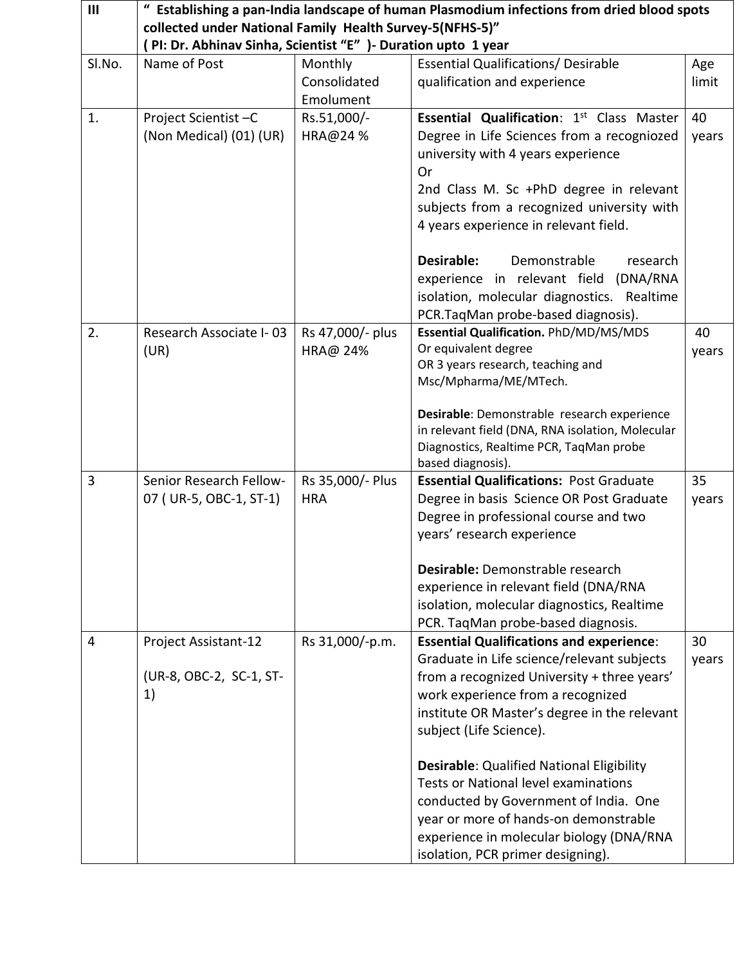| III    | Establishing a pan-India landscape of human Plasmodium infections from dried blood spots<br>collected under National Family Health Survey-5(NFHS-5)"<br>(PI: Dr. Abhinav Sinha, Scientist "E") - Duration upto 1 year |                                      |                                                                                                                                                                                                                                                                                                                        |              |  |
|--------|-----------------------------------------------------------------------------------------------------------------------------------------------------------------------------------------------------------------------|--------------------------------------|------------------------------------------------------------------------------------------------------------------------------------------------------------------------------------------------------------------------------------------------------------------------------------------------------------------------|--------------|--|
| Sl.No. | Name of Post                                                                                                                                                                                                          | Monthly<br>Consolidated<br>Emolument | <b>Essential Qualifications/ Desirable</b><br>qualification and experience                                                                                                                                                                                                                                             | Age<br>limit |  |
| 1.     | Project Scientist-C<br>(Non Medical) (01) (UR)                                                                                                                                                                        | Rs.51,000/-<br>HRA@24 %              | <b>Essential Qualification: 1st Class Master</b><br>Degree in Life Sciences from a recogniozed<br>university with 4 years experience<br>Or<br>2nd Class M. Sc +PhD degree in relevant<br>subjects from a recognized university with<br>4 years experience in relevant field.<br>Desirable:<br>Demonstrable<br>research | 40<br>years  |  |
|        |                                                                                                                                                                                                                       |                                      | experience in relevant field (DNA/RNA<br>isolation, molecular diagnostics. Realtime<br>PCR. TaqMan probe-based diagnosis).                                                                                                                                                                                             |              |  |
| 2.     | Research Associate I-03<br>(UR)                                                                                                                                                                                       | Rs 47,000/- plus<br>HRA@ 24%         | Essential Qualification. PhD/MD/MS/MDS<br>Or equivalent degree<br>OR 3 years research, teaching and<br>Msc/Mpharma/ME/MTech.                                                                                                                                                                                           | 40<br>years  |  |
|        |                                                                                                                                                                                                                       |                                      | Desirable: Demonstrable research experience<br>in relevant field (DNA, RNA isolation, Molecular<br>Diagnostics, Realtime PCR, TaqMan probe<br>based diagnosis).                                                                                                                                                        |              |  |
| 3      | Senior Research Fellow-<br>07 (UR-5, OBC-1, ST-1)                                                                                                                                                                     | Rs 35,000/- Plus<br><b>HRA</b>       | <b>Essential Qualifications: Post Graduate</b><br>Degree in basis Science OR Post Graduate<br>Degree in professional course and two<br>years' research experience                                                                                                                                                      | 35<br>years  |  |
|        |                                                                                                                                                                                                                       |                                      | Desirable: Demonstrable research<br>experience in relevant field (DNA/RNA<br>isolation, molecular diagnostics, Realtime<br>PCR. TaqMan probe-based diagnosis.                                                                                                                                                          |              |  |
| 4      | Project Assistant-12<br>(UR-8, OBC-2, SC-1, ST-<br>1)                                                                                                                                                                 | Rs 31,000/-p.m.                      | <b>Essential Qualifications and experience:</b><br>Graduate in Life science/relevant subjects<br>from a recognized University + three years'<br>work experience from a recognized<br>institute OR Master's degree in the relevant<br>subject (Life Science).                                                           | 30<br>years  |  |
|        |                                                                                                                                                                                                                       |                                      | <b>Desirable: Qualified National Eligibility</b><br><b>Tests or National level examinations</b><br>conducted by Government of India. One<br>year or more of hands-on demonstrable<br>experience in molecular biology (DNA/RNA<br>isolation, PCR primer designing).                                                     |              |  |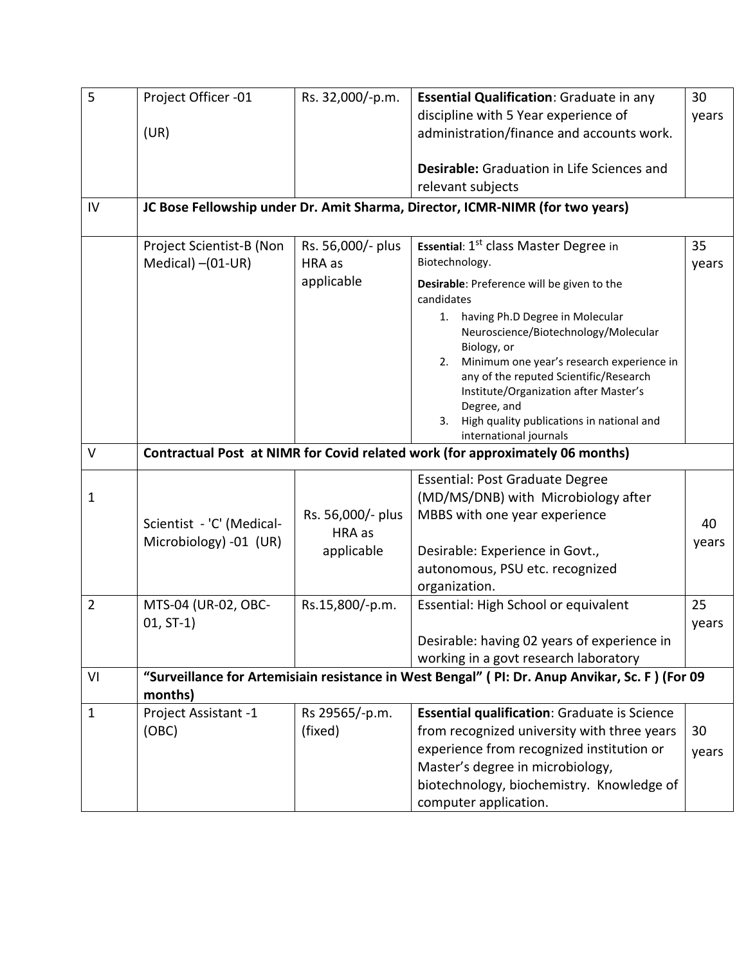| 5              | Project Officer -01       | Rs. 32,000/-p.m.  | Essential Qualification: Graduate in any                                                       | 30    |
|----------------|---------------------------|-------------------|------------------------------------------------------------------------------------------------|-------|
|                |                           |                   | discipline with 5 Year experience of                                                           | years |
|                | (UR)                      |                   | administration/finance and accounts work.                                                      |       |
|                |                           |                   | <b>Desirable:</b> Graduation in Life Sciences and                                              |       |
|                |                           |                   | relevant subjects                                                                              |       |
| IV             |                           |                   | JC Bose Fellowship under Dr. Amit Sharma, Director, ICMR-NIMR (for two years)                  |       |
|                | Project Scientist-B (Non  | Rs. 56,000/- plus | <b>Essential: 1st class Master Degree in</b>                                                   | 35    |
|                | Medical) - (01-UR)        | HRA as            | Biotechnology.                                                                                 | years |
|                |                           | applicable        | Desirable: Preference will be given to the<br>candidates                                       |       |
|                |                           |                   | 1. having Ph.D Degree in Molecular                                                             |       |
|                |                           |                   | Neuroscience/Biotechnology/Molecular                                                           |       |
|                |                           |                   | Biology, or<br>Minimum one year's research experience in<br>2.                                 |       |
|                |                           |                   | any of the reputed Scientific/Research                                                         |       |
|                |                           |                   | Institute/Organization after Master's                                                          |       |
|                |                           |                   | Degree, and                                                                                    |       |
|                |                           |                   | High quality publications in national and<br>3.<br>international journals                      |       |
| $\vee$         |                           |                   | Contractual Post at NIMR for Covid related work (for approximately 06 months)                  |       |
|                |                           |                   | <b>Essential: Post Graduate Degree</b>                                                         |       |
| $\mathbf 1$    |                           |                   | (MD/MS/DNB) with Microbiology after                                                            |       |
|                |                           | Rs. 56,000/- plus | MBBS with one year experience                                                                  |       |
|                | Scientist - 'C' (Medical- | HRA as            |                                                                                                | 40    |
|                | Microbiology) -01 (UR)    | applicable        | Desirable: Experience in Govt.,                                                                | years |
|                |                           |                   | autonomous, PSU etc. recognized                                                                |       |
|                |                           |                   | organization.                                                                                  |       |
| $\overline{2}$ | MTS-04 (UR-02, OBC-       | Rs.15,800/-p.m.   | Essential: High School or equivalent                                                           | 25    |
|                | $01, ST-1)$               |                   |                                                                                                | years |
|                |                           |                   | Desirable: having 02 years of experience in                                                    |       |
|                |                           |                   | working in a govt research laboratory                                                          |       |
| VI             | months)                   |                   | "Surveillance for Artemisiain resistance in West Bengal" (PI: Dr. Anup Anvikar, Sc. F) (For 09 |       |
| $\mathbf{1}$   | Project Assistant -1      | Rs 29565/-p.m.    | <b>Essential qualification: Graduate is Science</b>                                            |       |
|                | (OBC)                     | (fixed)           | from recognized university with three years                                                    | 30    |
|                |                           |                   | experience from recognized institution or                                                      | years |
|                |                           |                   | Master's degree in microbiology,                                                               |       |
|                |                           |                   | biotechnology, biochemistry. Knowledge of                                                      |       |
|                |                           |                   | computer application.                                                                          |       |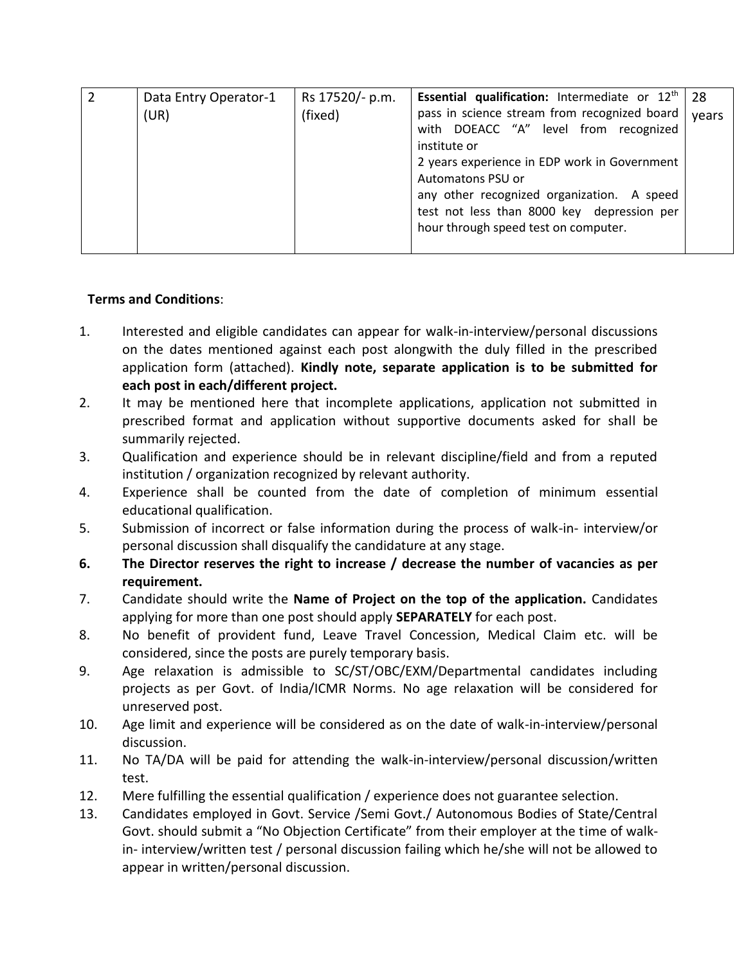|  | Data Entry Operator-1 | Rs 17520/- p.m. | <b>Essential qualification:</b> Intermediate or $12th$ | 28    |
|--|-----------------------|-----------------|--------------------------------------------------------|-------|
|  | (UR)                  | (fixed)         | pass in science stream from recognized board           | years |
|  |                       |                 | with DOEACC "A" level from recognized                  |       |
|  |                       |                 | institute or                                           |       |
|  |                       |                 | 2 years experience in EDP work in Government           |       |
|  |                       |                 | Automatons PSU or                                      |       |
|  |                       |                 | any other recognized organization. A speed             |       |
|  |                       |                 | test not less than 8000 key depression per             |       |
|  |                       |                 | hour through speed test on computer.                   |       |
|  |                       |                 |                                                        |       |
|  |                       |                 |                                                        |       |

# **Terms and Conditions**:

- 1. Interested and eligible candidates can appear for walk-in-interview/personal discussions on the dates mentioned against each post alongwith the duly filled in the prescribed application form (attached). **Kindly note, separate application is to be submitted for each post in each/different project.**
- 2. It may be mentioned here that incomplete applications, application not submitted in prescribed format and application without supportive documents asked for shall be summarily rejected.
- 3. Qualification and experience should be in relevant discipline/field and from a reputed institution / organization recognized by relevant authority.
- 4. Experience shall be counted from the date of completion of minimum essential educational qualification.
- 5. Submission of incorrect or false information during the process of walk-in- interview/or personal discussion shall disqualify the candidature at any stage.
- **6. The Director reserves the right to increase / decrease the number of vacancies as per requirement.**
- 7. Candidate should write the **Name of Project on the top of the application.** Candidates applying for more than one post should apply **SEPARATELY** for each post.
- 8. No benefit of provident fund, Leave Travel Concession, Medical Claim etc. will be considered, since the posts are purely temporary basis.
- 9. Age relaxation is admissible to SC/ST/OBC/EXM/Departmental candidates including projects as per Govt. of India/ICMR Norms. No age relaxation will be considered for unreserved post.
- 10. Age limit and experience will be considered as on the date of walk-in-interview/personal discussion.
- 11. No TA/DA will be paid for attending the walk-in-interview/personal discussion/written test.
- 12. Mere fulfilling the essential qualification / experience does not guarantee selection.
- 13. Candidates employed in Govt. Service /Semi Govt./ Autonomous Bodies of State/Central Govt. should submit a "No Objection Certificate" from their employer at the time of walkin- interview/written test / personal discussion failing which he/she will not be allowed to appear in written/personal discussion.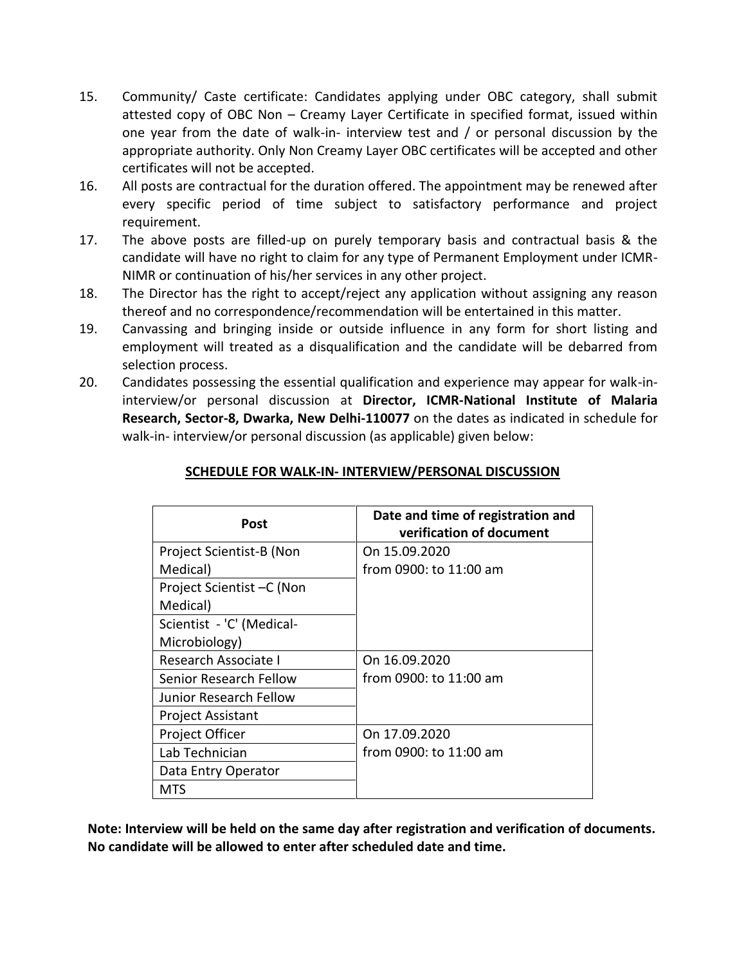- 15. Community/ Caste certificate: Candidates applying under OBC category, shall submit attested copy of OBC Non – Creamy Layer Certificate in specified format, issued within one year from the date of walk-in- interview test and / or personal discussion by the appropriate authority. Only Non Creamy Layer OBC certificates will be accepted and other certificates will not be accepted.
- 16. All posts are contractual for the duration offered. The appointment may be renewed after every specific period of time subject to satisfactory performance and project requirement.
- 17. The above posts are filled-up on purely temporary basis and contractual basis & the candidate will have no right to claim for any type of Permanent Employment under ICMR-NIMR or continuation of his/her services in any other project.
- 18. The Director has the right to accept/reject any application without assigning any reason thereof and no correspondence/recommendation will be entertained in this matter.
- 19. Canvassing and bringing inside or outside influence in any form for short listing and employment will treated as a disqualification and the candidate will be debarred from selection process.
- 20. Candidates possessing the essential qualification and experience may appear for walk-ininterview/or personal discussion at **Director, ICMR-National Institute of Malaria Research, Sector-8, Dwarka, New Delhi-110077** on the dates as indicated in schedule for walk-in- interview/or personal discussion (as applicable) given below:

| Post                        | Date and time of registration and<br>verification of document |
|-----------------------------|---------------------------------------------------------------|
| Project Scientist-B (Non    | On 15.09.2020                                                 |
| Medical)                    | from 0900: to 11:00 am                                        |
| Project Scientist - C (Non  |                                                               |
| Medical)                    |                                                               |
| Scientist - 'C' (Medical-   |                                                               |
| Microbiology)               |                                                               |
| <b>Research Associate I</b> | On 16.09.2020                                                 |
| Senior Research Fellow      | from 0900: to 11:00 am                                        |
| Junior Research Fellow      |                                                               |
| <b>Project Assistant</b>    |                                                               |
| Project Officer             | On 17.09.2020                                                 |
| Lab Technician              | from 0900: to 11:00 am                                        |
| Data Entry Operator         |                                                               |
| MTS                         |                                                               |

# **SCHEDULE FOR WALK-IN- INTERVIEW/PERSONAL DISCUSSION**

**Note: Interview will be held on the same day after registration and verification of documents. No candidate will be allowed to enter after scheduled date and time.**